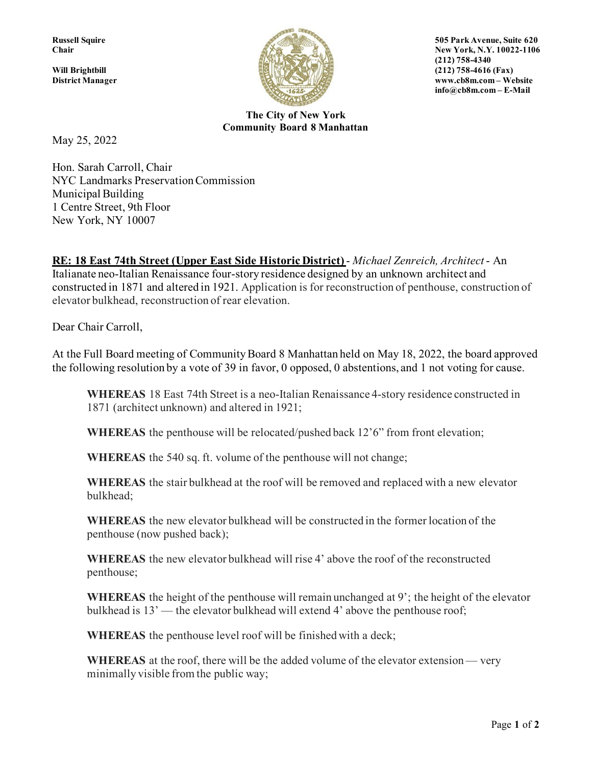

**Russell Squire 505 Park Avenue, Suite 620 Chair** New York, N.Y. 10022-1106 **District Manager www.cb8m.com – Website info@cb8m.com – E-Mail**

> **The City of New York Community Board 8 Manhattan**

May 25, 2022

Hon. Sarah Carroll, Chair NYC Landmarks Preservation Commission Municipal Building 1 Centre Street, 9th Floor New York, NY 10007

**RE: 18 East 74th Street (Upper East Side Historic District)** - *Michael Zenreich, Architect* - An Italianate neo-Italian Renaissance four-story residence designed by an unknown architect and constructed in 1871 and altered in 1921. Application is for reconstruction of penthouse, construction of elevator bulkhead, reconstruction of rear elevation.

Dear Chair Carroll,

At the Full Board meeting of Community Board 8 Manhattan held on May 18, 2022, the board approved the following resolution by a vote of 39 in favor, 0 opposed, 0 abstentions, and 1 not voting for cause.

**WHEREAS** 18 East 74th Street is a neo-Italian Renaissance 4-story residence constructed in 1871 (architect unknown) and altered in 1921;

**WHEREAS** the penthouse will be relocated/pushed back 12'6" from front elevation;

**WHEREAS** the 540 sq. ft. volume of the penthouse will not change;

**WHEREAS** the stair bulkhead at the roof will be removed and replaced with a new elevator bulkhead;

**WHEREAS** the new elevator bulkhead will be constructed in the former location of the penthouse (now pushed back);

**WHEREAS** the new elevator bulkhead will rise 4' above the roof of the reconstructed penthouse;

**WHEREAS** the height of the penthouse will remain unchanged at 9'; the height of the elevator bulkhead is 13' — the elevator bulkhead will extend 4' above the penthouse roof;

**WHEREAS** the penthouse level roof will be finished with a deck;

**WHEREAS** at the roof, there will be the added volume of the elevator extension — very minimally visible from the public way;